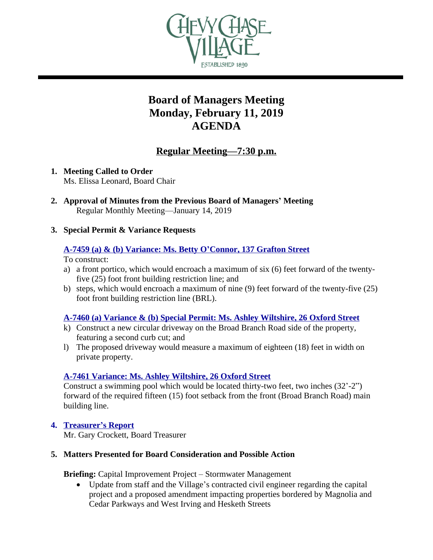

# **Board of Managers Meeting Monday, February 11, 2019 AGENDA**

# **Regular Meeting—7:30 p.m.**

- **1. Meeting Called to Order** Ms. Elissa Leonard, Board Chair
- **2. Approval of Minutes from the Previous Board of Managers' Meeting** Regular Monthly Meeting—January 14, 2019
- **3. Special Permit & Variance Requests**

#### **[A-7459 \(a\) & \(b\) Variance: Ms. Betty O](https://www.chevychasevillagemd.gov/DocumentCenter/View/2811/Staff-Report-7459-FINAL)'Connor, 137 Grafton Street**

To construct:

- a) a front portico, which would encroach a maximum of six (6) feet forward of the twentyfive (25) foot front building restriction line; and
- b) steps, which would encroach a maximum of nine (9) feet forward of the twenty-five (25) foot front building restriction line (BRL).

#### **[A-7460 \(a\) Variance & \(b\) Special Permit: Ms. Ashley Wiltshire, 26 Oxford Street](https://www.chevychasevillagemd.gov/DocumentCenter/View/2806/final-web-pack)**

- k) [Construct a new circular driveway on the Broad Branch Road side of the property,](https://www.chevychasevillagemd.gov/DocumentCenter/View/2806/final-web-pack)  [featuring a second curb cut; and](https://www.chevychasevillagemd.gov/DocumentCenter/View/2806/final-web-pack)
- l) [The proposed driveway would measure a maximum of eighteen \(18\) feet in width on](https://www.chevychasevillagemd.gov/DocumentCenter/View/2806/final-web-pack)  [private property.](https://www.chevychasevillagemd.gov/DocumentCenter/View/2806/final-web-pack)

## **[A-7461 Variance: Ms. Ashley Wiltshire, 26 Oxford Street](https://www.chevychasevillagemd.gov/DocumentCenter/View/2801/A-7461-materials-SEF)**

[Construct a swimming pool which would be located thirty-two feet, two inches \(32](https://www.chevychasevillagemd.gov/DocumentCenter/View/2801/A-7461-materials-SEF)'[-2](https://www.chevychasevillagemd.gov/DocumentCenter/View/2801/A-7461-materials-SEF)") [forward of the required fifteen \(15\) foot setback from the front \(Broad Branch Road\) main](https://www.chevychasevillagemd.gov/DocumentCenter/View/2801/A-7461-materials-SEF)  [building line.](https://www.chevychasevillagemd.gov/DocumentCenter/View/2801/A-7461-materials-SEF)

## **4. [Treasurer](https://www.chevychasevillagemd.gov/DocumentCenter/View/2800/2_February-2019)'s Report**

[Mr. Gary Crockett, Board](https://www.chevychasevillagemd.gov/DocumentCenter/View/2800/2_February-2019) [Treasurer](https://www.chevychasevillagemd.gov/DocumentCenter/View/2800/2_February-2019)

#### **5. [Matters Presented for Board Consideration and Possible Action](https://www.chevychasevillagemd.gov/DocumentCenter/View/2800/2_February-2019)**

**[Briefing:](https://www.chevychasevillagemd.gov/DocumentCenter/View/2800/2_February-2019)** [Capital Improvement Project](https://www.chevychasevillagemd.gov/DocumentCenter/View/2800/2_February-2019) – Stormwater Management

 Update from staff and the Village'[s contracted civil engineer regarding the capital](https://www.chevychasevillagemd.gov/DocumentCenter/View/2800/2_February-2019)  [project and a proposed amendment impacting properties bordered by Magnolia and](https://www.chevychasevillagemd.gov/DocumentCenter/View/2800/2_February-2019)  [Cedar Parkways and West Irving and Hesketh Streets](https://www.chevychasevillagemd.gov/DocumentCenter/View/2800/2_February-2019)